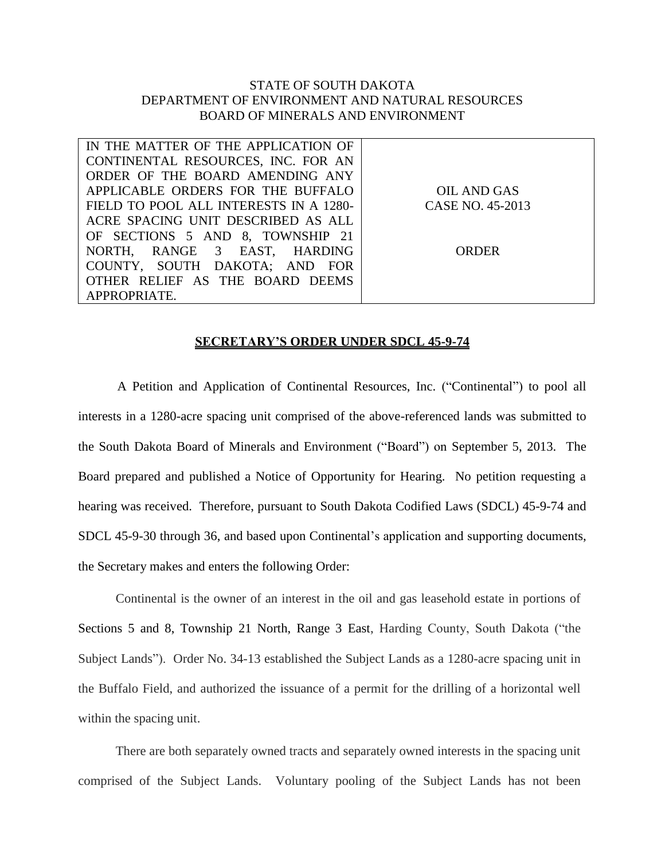## STATE OF SOUTH DAKOTA DEPARTMENT OF ENVIRONMENT AND NATURAL RESOURCES BOARD OF MINERALS AND ENVIRONMENT

| IN THE MATTER OF THE APPLICATION OF    |                  |
|----------------------------------------|------------------|
| CONTINENTAL RESOURCES, INC. FOR AN     |                  |
| ORDER OF THE BOARD AMENDING ANY        |                  |
| APPLICABLE ORDERS FOR THE BUFFALO      | OIL AND GAS      |
| FIELD TO POOL ALL INTERESTS IN A 1280- | CASE NO. 45-2013 |
| ACRE SPACING UNIT DESCRIBED AS ALL     |                  |
| OF SECTIONS 5 AND 8, TOWNSHIP 21       |                  |
| NORTH, RANGE 3 EAST, HARDING           | ORDER            |
| COUNTY, SOUTH DAKOTA; AND FOR          |                  |
| OTHER RELIEF AS THE BOARD DEEMS        |                  |
| APPROPRIATE.                           |                  |

## **SECRETARY'S ORDER UNDER SDCL 45-9-74**

A Petition and Application of Continental Resources, Inc. ("Continental") to pool all interests in a 1280-acre spacing unit comprised of the above-referenced lands was submitted to the South Dakota Board of Minerals and Environment ("Board") on September 5, 2013. The Board prepared and published a Notice of Opportunity for Hearing. No petition requesting a hearing was received. Therefore, pursuant to South Dakota Codified Laws (SDCL) 45-9-74 and SDCL 45-9-30 through 36, and based upon Continental's application and supporting documents, the Secretary makes and enters the following Order:

Continental is the owner of an interest in the oil and gas leasehold estate in portions of Sections 5 and 8, Township 21 North, Range 3 East, Harding County, South Dakota ("the Subject Lands"). Order No. 34-13 established the Subject Lands as a 1280-acre spacing unit in the Buffalo Field, and authorized the issuance of a permit for the drilling of a horizontal well within the spacing unit.

There are both separately owned tracts and separately owned interests in the spacing unit comprised of the Subject Lands. Voluntary pooling of the Subject Lands has not been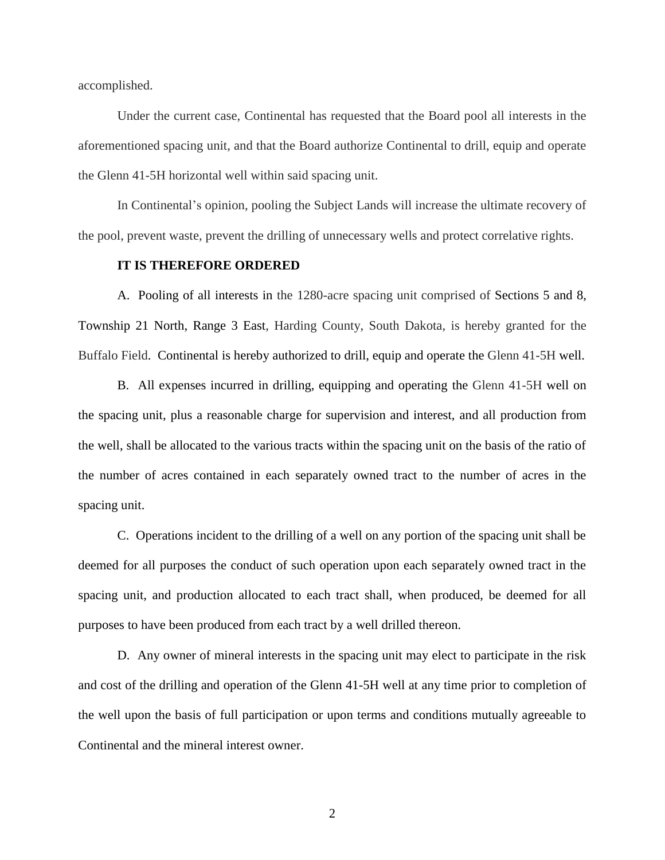accomplished.

Under the current case, Continental has requested that the Board pool all interests in the aforementioned spacing unit, and that the Board authorize Continental to drill, equip and operate the Glenn 41-5H horizontal well within said spacing unit.

In Continental's opinion, pooling the Subject Lands will increase the ultimate recovery of the pool, prevent waste, prevent the drilling of unnecessary wells and protect correlative rights.

## **IT IS THEREFORE ORDERED**

A. Pooling of all interests in the 1280-acre spacing unit comprised of Sections 5 and 8, Township 21 North, Range 3 East, Harding County, South Dakota, is hereby granted for the Buffalo Field. Continental is hereby authorized to drill, equip and operate the Glenn 41-5H well.

B. All expenses incurred in drilling, equipping and operating the Glenn 41-5H well on the spacing unit, plus a reasonable charge for supervision and interest, and all production from the well, shall be allocated to the various tracts within the spacing unit on the basis of the ratio of the number of acres contained in each separately owned tract to the number of acres in the spacing unit.

C. Operations incident to the drilling of a well on any portion of the spacing unit shall be deemed for all purposes the conduct of such operation upon each separately owned tract in the spacing unit, and production allocated to each tract shall, when produced, be deemed for all purposes to have been produced from each tract by a well drilled thereon.

D. Any owner of mineral interests in the spacing unit may elect to participate in the risk and cost of the drilling and operation of the Glenn 41-5H well at any time prior to completion of the well upon the basis of full participation or upon terms and conditions mutually agreeable to Continental and the mineral interest owner.

2